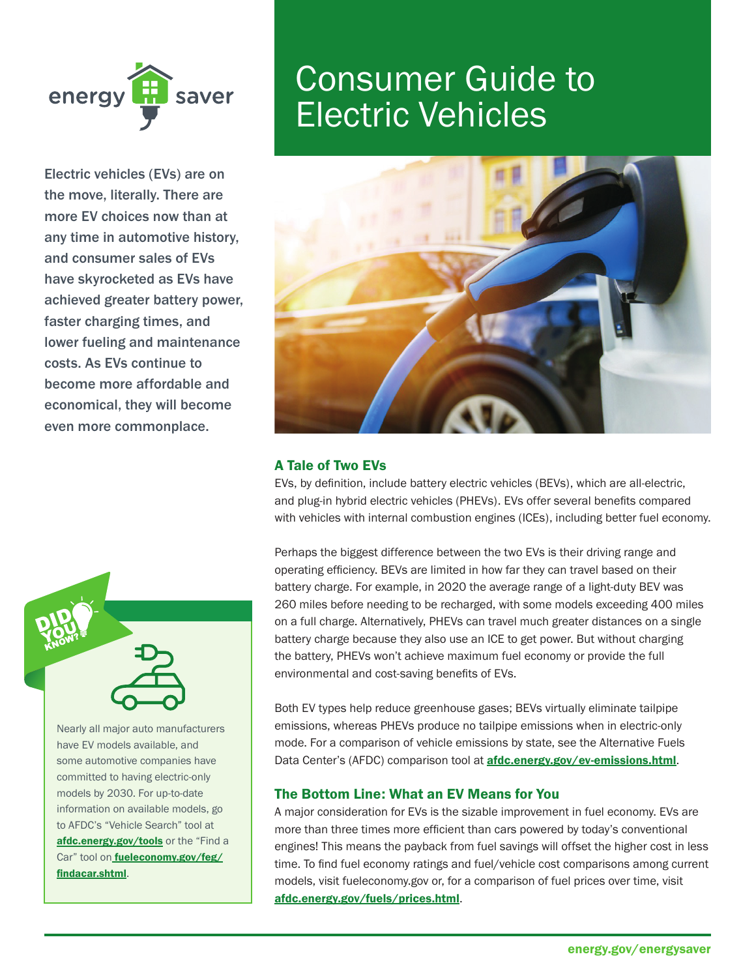

Electric vehicles (EVs) are on the move, literally. There are more EV choices now than at any time in automotive history, and consumer sales of EVs have skyrocketed as EVs have achieved greater battery power, faster charging times, and lower fueling and maintenance costs. As EVs continue to become more affordable and economical, they will become even more commonplace.



Nearly all major auto manufacturers have EV models available, and some automotive companies have committed to having electric-only models by 2030. For up-to-date information on available models, go to AFDC's "Vehicle Search" tool at [afdc.energy.gov/tools](https://afdc.energy.gov/tools) or the "Find a Car" tool on **[fueleconomy.gov/feg/](https://fueleconomy.gov/feg)** findacar.shtml.

# Consumer Guide to Electric Vehicles



## A Tale of Two EVs

EVs, by defnition, include battery electric vehicles (BEVs), which are all-electric, and plug-in hybrid electric vehicles (PHEVs). EVs offer several benefts compared with vehicles with internal combustion engines (ICEs), including better fuel economy.

Perhaps the biggest difference between the two EVs is their driving range and operating efficiency. BEVs are limited in how far they can travel based on their battery charge. For example, in 2020 the average range of a light-duty BEV was 260 miles before needing to be recharged, with some models exceeding 400 miles on a full charge. Alternatively, PHEVs can travel much greater distances on a single battery charge because they also use an ICE to get power. But without charging the battery, PHEVs won't achieve maximum fuel economy or provide the full environmental and cost-saving benefits of EVs.

Both EV types help reduce greenhouse gases; BEVs virtually eliminate tailpipe emissions, whereas PHEVs produce no tailpipe emissions when in electric-only mode. For a comparison of vehicle emissions by state, see the Alternative Fuels Data Center's (AFDC) comparison tool at **[afdc.energy.gov/ev-emissions.html](https://afdc.energy.gov/ev-emissions.html)**.

### The Bottom Line: What an EV Means for You

A major consideration for EVs is the sizable improvement in fuel economy. EVs are more than three times more efficient than cars powered by today's conventional engines! This means the payback from fuel savings will offset the higher cost in less time. To find fuel economy ratings and fuel/vehicle cost comparisons among current models, visit [fueleconomy.gov](https://fueleconomy.gov) or, for a comparison of fuel prices over time, visit [afdc.energy.gov/fuels/prices.html](https://afdc.energy.gov/fuels/prices.html).